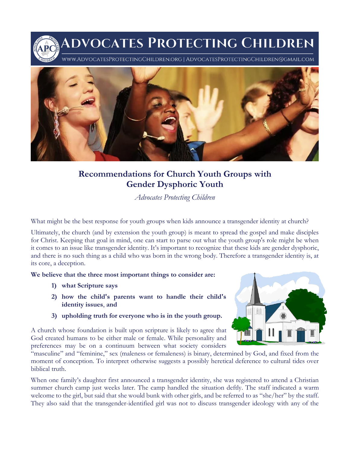DVOCATES PROTECTING CHILDREN 'w.AdvocatesProtectingChildren.org | AdvocatesProtectingChildren@gmail.com



## **Recommendations for Church Youth Groups with Gender Dysphoric Youth**

*Advocates Protecting Children*

What might be the best response for youth groups when kids announce a transgender identity at church?

Ultimately, the church (and by extension the youth group) is meant to spread the gospel and make disciples for Christ. Keeping that goal in mind, one can start to parse out what the youth group's role might be when it comes to an issue like transgender identity. It's important to recognize that these kids are gender dysphoric, and there is no such thing as a child who was born in the wrong body. Therefore a transgender identity is, at its core, a deception.

**We believe that the three most important things to consider are:**

- **1) what Scripture says**
- **2) how the child's parents want to handle their child's identity issues**, **and**
- **3) upholding truth for everyone who is in the youth group.**

A church whose foundation is built upon scripture is likely to agree that God created humans to be either male or female. While personality and preferences may be on a continuum between what society considers



"masculine" and "feminine," sex (maleness or femaleness) is binary, determined by God, and fixed from the moment of conception. To interpret otherwise suggests a possibly heretical deference to cultural tides over biblical truth.

When one family's daughter first announced a transgender identity, she was registered to attend a Christian summer church camp just weeks later. The camp handled the situation deftly. The staff indicated a warm welcome to the girl, but said that she would bunk with other girls, and be referred to as "she/her" by the staff. They also said that the transgender-identified girl was not to discuss transgender ideology with any of the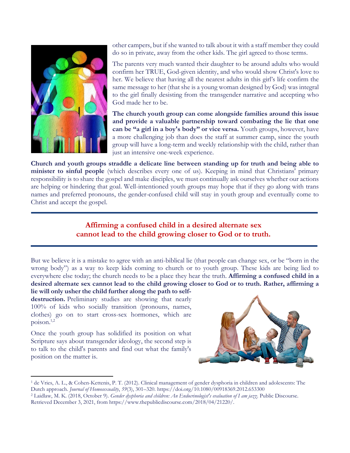

other campers, but if she wanted to talk about it with a staff member they could do so in private, away from the other kids. The girl agreed to those terms.

The parents very much wanted their daughter to be around adults who would confirm her TRUE, God-given identity, and who would show Christ's love to her. We believe that having all the nearest adults in this girl's life confirm the same message to her (that she is a young woman designed by God) was integral to the girl finally desisting from the transgender narrative and accepting who God made her to be.

**The church youth group can come alongside families around this issue and provide a valuable partnership toward combating the lie that one can be "a girl in a boy's body" or vice versa.** Youth groups, however, have a more challenging job than does the staff at summer camp, since the youth group will have a long-term and weekly relationship with the child, rather than just an intensive one-week experience.

**Church and youth groups straddle a delicate line between standing up for truth and being able to minister to sinful people** (which describes every one of us). Keeping in mind that Christians' primary responsibility is to share the gospel and make disciples, we must continually ask ourselves whether our actions are helping or hindering that goal. Well-intentioned youth groups may hope that if they go along with trans names and preferred pronouns, the gender-confused child will stay in youth group and eventually come to Christ and accept the gospel.

## **Affirming a confused child in a desired alternate sex cannot lead to the child growing closer to God or to truth.**

But we believe it is a mistake to agree with an anti-biblical lie (that people can change sex, or be "born in the wrong body") as a way to keep kids coming to church or to youth group. These kids are being lied to everywhere else today; the church needs to be a place they hear the truth. **Affirming a confused child in a desired alternate sex cannot lead to the child growing closer to God or to truth. Rather, affirming a** 

**lie will only usher the child further along the path to selfdestruction.** Preliminary studies are showing that nearly 100% of kids who socially transition (pronouns, names, clothes) go on to start cross-sex hormones, which are poison. 1,2

Once the youth group has solidified its position on what Scripture says about transgender ideology, the second step is to talk to the child's parents and find out what the family's position on the matter is.



<sup>1</sup> de Vries, A. L., & Cohen-Kettenis, P. T. (2012). Clinical management of gender dysphoria in children and adolescents: The Dutch approach. *Journal of Homosexuality*, *59*(3), 301–320. https://doi.org/10.1080/00918369.2012.653300

<sup>2</sup> Laidlaw, M. K. (2018, October 9). *Gender dysphoria and children: An Endocrinologist's evaluation of I am jazz*. Public Discourse. Retrieved December 3, 2021, from https://www.thepublicdiscourse.com/2018/04/21220/.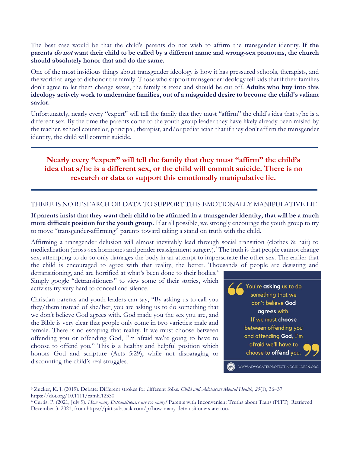The best case would be that the child's parents do not wish to affirm the transgender identity. **If the parents do not want their child to be called by a different name and wrong-sex pronouns, the church should absolutely honor that and do the same.**

One of the most insidious things about transgender ideology is how it has pressured schools, therapists, and the world at large to dishonor the family. Those who support transgender ideology tell kids that if their families don't agree to let them change sexes, the family is toxic and should be cut off. **Adults who buy into this ideology actively work to undermine families, out of a misguided desire to become the child's valiant savior.**

Unfortunately, nearly every "expert" will tell the family that they must "affirm" the child's idea that s/he is a different sex. By the time the parents come to the youth group leader they have likely already been misled by the teacher, school counselor, principal, therapist, and/or pediatrician that if they don't affirm the transgender identity, the child will commit suicide.

## **Nearly every "expert" will tell the family that they must "affirm" the child's idea that s/he is a different sex, or the child will commit suicide. There is no research or data to support this emotionally manipulative lie.**

## THERE IS NO RESEARCH OR DATA TO SUPPORT THIS EMOTIONALLY MANIPULATIVE LIE.

**If parents insist that they want their child to be affirmed in a transgender identity, that will be a much more difficult position for the youth group.** If at all possible, we strongly encourage the youth group to try to move "transgender-affirming" parents toward taking a stand on truth with the child.

Affirming a transgender delusion will almost inevitably lead through social transition (clothes & hair) to medicalization (cross-sex hormones and gender reassignment surgery).<sup>3</sup> The truth is that people cannot change sex; attempting to do so only damages the body in an attempt to impersonate the other sex. The earlier that the child is encouraged to agree with that reality, the better. Thousands of people are desisting and

detransitioning, and are horrified at what's been done to their bodies.<sup>4</sup> Simply google "detransitioners" to view some of their stories, which activists try very hard to conceal and silence.

Christian parents and youth leaders can say, "By asking us to call you they/them instead of she/her, you are asking us to do something that we don't believe God agrees with. God made you the sex you are, and the Bible is very clear that people only come in two varieties: male and female. There is no escaping that reality. If we must choose between offending you or offending God, I'm afraid we're going to have to choose to offend you." This is a healthy and helpful position which honors God and scripture (Acts 5:29), while not disparaging or discounting the child's real struggles.



<sup>3</sup> Zucker, K. J. (2019). Debate: Different strokes for different folks. *Child and Adolescent Mental Health*, *25*(1), 36–37. https://doi.org/10.1111/camh.12330

<sup>4</sup> Curtis, P. (2021, July 9). *How many Detransitioners are too many?* Parents with Inconvenient Truths about Trans (PITT). Retrieved December 3, 2021, from https://pitt.substack.com/p/how-many-detransitioners-are-too.